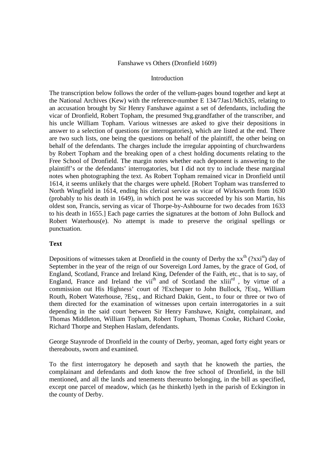## Fanshawe vs Others (Dronfield 1609)

## Introduction

The transcription below follows the order of the vellum-pages bound together and kept at the National Archives (Kew) with the reference-number E 134/7Jas1/Mich35, relating to an accusation brought by Sir Henry Fanshawe against a set of defendants, including the vicar of Dronfield, Robert Topham, the presumed 9xg.grandfather of the transcriber, and his uncle William Topham. Various witnesses are asked to give their depositions in answer to a selection of questions (or interrogatories), which are listed at the end. There are two such lists, one being the questions on behalf of the plaintiff, the other being on behalf of the defendants. The charges include the irregular appointing of churchwardens by Robert Topham and the breaking open of a chest holding documents relating to the Free School of Dronfield. The margin notes whether each deponent is answering to the plaintiff's or the defendants' interrogatories, but I did not try to include these marginal notes when photographing the text. As Robert Topham remained vicar in Dronfield until 1614, it seems unlikely that the charges were upheld. [Robert Topham was transferred to North Wingfield in 1614, ending his clerical service as vicar of Wirksworth from 1630 (probably to his death in 1649), in which post he was succeeded by his son Martin, his oldest son, Francis, serving as vicar of Thorpe-by-Ashbourne for two decades from 1633 to his death in 1655.] Each page carries the signatures at the bottom of John Bullock and Robert Waterhous(e). No attempt is made to preserve the original spellings or punctuation.

## **Text**

Depositions of witnesses taken at Dronfield in the county of Derby the  $xx^{th}$  (? $xx^{st}$ ) day of September in the year of the reign of our Sovereign Lord James, by the grace of God, of England, Scotland, France and Ireland King, Defender of the Faith, etc., that is to say, of England, France and Ireland the vii<sup>th</sup> and of Scotland the  $xliii$ <sup>rd</sup>, by virtue of a commission out His Highness' court of ?Exchequer to John Bullock, ?Esq., William Routh, Robert Waterhouse, ?Esq., and Richard Dakin, Gent., to four or three or two of them directed for the examination of witnesses upon certain interrogatories in a suit depending in the said court between Sir Henry Fanshawe, Knight, complainant, and Thomas Middleton, William Topham, Robert Topham, Thomas Cooke, Richard Cooke, Richard Thorpe and Stephen Haslam, defendants.

George Staynrode of Dronfield in the county of Derby, yeoman, aged forty eight years or thereabouts, sworn and examined.

To the first interrogatory he deposeth and sayth that he knoweth the parties, the complainant and defendants and doth know the free school of Dronfield, in the bill mentioned, and all the lands and tenements thereunto belonging, in the bill as specified, except one parcel of meadow, which (as he thinketh) lyeth in the parish of Eckington in the county of Derby.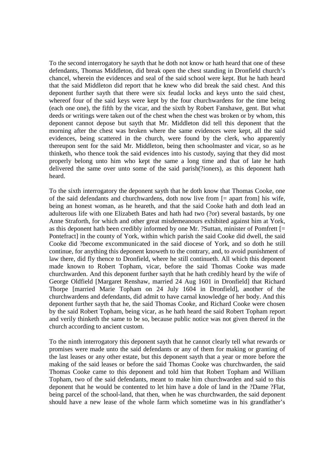To the second interrogatory he sayth that he doth not know or hath heard that one of these defendants, Thomas Middleton, did break open the chest standing in Dronfield church's chancel, wherein the evidences and seal of the said school were kept. But he hath heard that the said Middleton did report that he knew who did break the said chest. And this deponent further sayth that there were six feudal locks and keys unto the said chest, whereof four of the said keys were kept by the four churchwardens for the time being (each one one), the fifth by the vicar, and the sixth by Robert Fanshawe, gent. But what deeds or writings were taken out of the chest when the chest was broken or by whom, this deponent cannot depose but sayth that Mr. Middleton did tell this deponent that the morning after the chest was broken where the same evidences were kept, all the said evidences, being scattered in the church, were found by the clerk, who apparently thereupon sent for the said Mr. Middleton, being then schoolmaster and vicar, so as he thinketh, who thence took the said evidences into his custody, saying that they did most properly belong unto him who kept the same a long time and that of late he hath delivered the same over unto some of the said parish(?ioners), as this deponent hath heard.

To the sixth interrogatory the deponent sayth that he doth know that Thomas Cooke, one of the said defendants and churchwardens, doth now live from [= apart from] his wife, being an honest woman, as he heareth, and that the said Cooke hath and doth lead an adulterous life with one Elizabeth Bates and hath had two (?or) several bastards, by one Anne Straforth, for which and other great misdemeanours exhibited against him at York, as this deponent hath been credibly informed by one Mr. ?Suttan, minister of Pomfrett [= Pontefract] in the county of York, within which parish the said Cooke did dwell, the said Cooke did ?become excommunicated in the said diocese of York, and so doth he still continue, for anything this deponent knoweth to the contrary, and, to avoid punishment of law there, did fly thence to Dronfield, where he still continueth. All which this deponent made known to Robert Topham, vicar, before the said Thomas Cooke was made churchwarden. And this deponent further sayth that he hath credibly heard by the wife of George Oldfield [Margaret Renshaw, married 24 Aug 1601 in Dronfield] that Richard Thorpe [married Marie Topham on 24 July 1604 in Dronfield], another of the churchwardens and defendants, did admit to have carnal knowledge of her body. And this deponent further sayth that he, the said Thomas Cooke, and Richard Cooke were chosen by the said Robert Topham, being vicar, as he hath heard the said Robert Topham report and verily thinketh the same to be so, because public notice was not given thereof in the church according to ancient custom.

To the ninth interrogatory this deponent sayth that he cannot clearly tell what rewards or promises were made unto the said defendants or any of them for making or granting of the last leases or any other estate, but this deponent sayth that a year or more before the making of the said leases or before the said Thomas Cooke was churchwarden, the said Thomas Cooke came to this deponent and told him that Robert Topham and William Topham, two of the said defendants, meant to make him churchwarden and said to this deponent that he would be contented to let him have a dole of land in the ?Dame ?Flat, being parcel of the school-land, that then, when he was churchwarden, the said deponent should have a new lease of the whole farm which sometime was in his grandfather's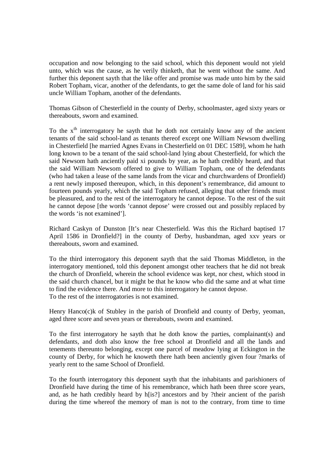occupation and now belonging to the said school, which this deponent would not yield unto, which was the cause, as he verily thinketh, that he went without the same. And further this deponent sayth that the like offer and promise was made unto him by the said Robert Topham, vicar, another of the defendants, to get the same dole of land for his said uncle William Topham, another of the defendants.

Thomas Gibson of Chesterfield in the county of Derby, schoolmaster, aged sixty years or thereabouts, sworn and examined.

To the  $x<sup>th</sup>$  interrogatory he sayth that he doth not certainly know any of the ancient tenants of the said school-land as tenants thereof except one William Newsom dwelling in Chesterfield [he married Agnes Evans in Chesterfield on 01 DEC 1589], whom he hath long known to be a tenant of the said school-land lying about Chesterfield, for which the said Newsom hath anciently paid xi pounds by year, as he hath credibly heard, and that the said William Newsom offered to give to William Topham, one of the defendants (who had taken a lease of the same lands from the vicar and churchwardens of Dronfield) a rent newly imposed thereupon, which, in this deponent's remembrance, did amount to fourteen pounds yearly, which the said Topham refused, alleging that other friends must be pleasured, and to the rest of the interrogatory he cannot depose. To the rest of the suit he cannot depose [the words 'cannot depose' were crossed out and possibly replaced by the words 'is not examined'].

Richard Caskyn of Dunston [It's near Chesterfield. Was this the Richard baptised 17 April 1586 in Dronfield?] in the county of Derby, husbandman, aged xxv years or thereabouts, sworn and examined.

To the third interrogatory this deponent sayth that the said Thomas Middleton, in the interrogatory mentioned, told this deponent amongst other teachers that he did not break the church of Dronfield, wherein the school evidence was kept, nor chest, which stood in the said church chancel, but it might be that he know who did the same and at what time to find the evidence there. And more to this interrogatory he cannot depose. To the rest of the interrogatories is not examined.

Henry Hanco(c)k of Stubley in the parish of Dronfield and county of Derby, yeoman, aged three score and seven years or thereabouts, sworn and examined.

To the first interrogatory he sayth that he doth know the parties, complainant(s) and defendants, and doth also know the free school at Dronfield and all the lands and tenements thereunto belonging, except one parcel of meadow lying at Eckington in the county of Derby, for which he knoweth there hath been anciently given four ?marks of yearly rent to the same School of Dronfield.

To the fourth interrogatory this deponent sayth that the inhabitants and parishioners of Dronfield have during the time of his remembrance, which hath been three score years, and, as he hath credibly heard by h[is?] ancestors and by ?their ancient of the parish during the time whereof the memory of man is not to the contrary, from time to time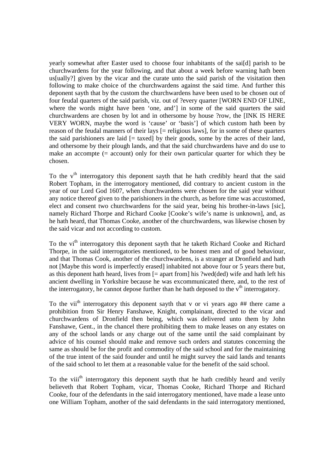yearly somewhat after Easter used to choose four inhabitants of the sai[d] parish to be churchwardens for the year following, and that about a week before warning hath been us[ually?] given by the vicar and the curate unto the said parish of the visitation then following to make choice of the churchwardens against the said time. And further this deponent sayth that by the custom the churchwardens have been used to be chosen out of four feudal quarters of the said parish, viz. out of ?every quarter [WORN END OF LINE, where the words might have been 'one, and'] in some of the said quarters the said churchwardens are chosen by lot and in othersome by house ?row, the [INK IS HERE VERY WORN, maybe the word is 'cause' or 'basis'] of which custom hath been by reason of the feudal manners of their lays [= religious laws], for in some of these quarters the said parishioners are laid  $[=$  taxed by their goods, some by the acres of their land, and othersome by their plough lands, and that the said churchwardens have and do use to make an accompte (= account) only for their own particular quarter for which they be chosen.

To the  $v<sup>th</sup>$  interrogatory this deponent sayth that he hath credibly heard that the said Robert Topham, in the interrogatory mentioned, did contrary to ancient custom in the year of our Lord God 1607, when churchwardens were chosen for the said year without any notice thereof given to the parishioners in the church, as before time was accustomed, elect and consent two churchwardens for the said year, being his brother-in-laws [sic], namely Richard Thorpe and Richard Cooke [Cooke's wife's name is unknown], and, as he hath heard, that Thomas Cooke, another of the churchwardens, was likewise chosen by the said vicar and not according to custom.

To the vi<sup>th</sup> interrogatory this deponent sayth that he taketh Richard Cooke and Richard Thorpe, in the said interrogatories mentioned, to be honest men and of good behaviour, and that Thomas Cook, another of the churchwardens, is a stranger at Dronfield and hath not [Maybe this word is imperfectly erased] inhabited not above four or 5 years there but, as this deponent hath heard, lives from [= apart from] his ?wed(ded) wife and hath left his ancient dwelling in Yorkshire because he was excommunicated there, and, to the rest of the interrogatory, he cannot depose further than he hath deposed to the  $v<sup>th</sup>$  interrogatory.

To the vii<sup>th</sup> interrogatory this deponent sayth that v or vi years ago  $\#$  there came a prohibition from Sir Henry Fanshawe, Knight, complainant, directed to the vicar and churchwardens of Dronfield then being, which was delivered unto them by John Fanshawe, Gent., in the chancel there prohibiting them to make leases on any estates on any of the school lands or any charge out of the same until the said complainant by advice of his counsel should make and remove such orders and statutes concerning the same as should be for the profit and commodity of the said school and for the maintaining of the true intent of the said founder and until he might survey the said lands and tenants of the said school to let them at a reasonable value for the benefit of the said school.

To the viii<sup>th</sup> interrogatory this deponent sayth that he hath credibly heard and verily believeth that Robert Topham, vicar, Thomas Cooke, Richard Thorpe and Richard Cooke, four of the defendants in the said interrogatory mentioned, have made a lease unto one William Topham, another of the said defendants in the said interrogatory mentioned,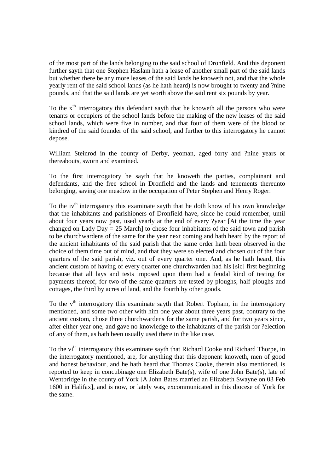of the most part of the lands belonging to the said school of Dronfield. And this deponent further sayth that one Stephen Haslam hath a lease of another small part of the said lands but whether there be any more leases of the said lands he knoweth not, and that the whole yearly rent of the said school lands (as he hath heard) is now brought to twenty and ?nine pounds, and that the said lands are yet worth above the said rent six pounds by year.

To the  $x<sup>th</sup>$  interrogatory this defendant sayth that he knoweth all the persons who were tenants or occupiers of the school lands before the making of the new leases of the said school lands, which were five in number, and that four of them were of the blood or kindred of the said founder of the said school, and further to this interrogatory he cannot depose.

William Steinrod in the county of Derby, yeoman, aged forty and ?nine years or thereabouts, sworn and examined.

To the first interrogatory he sayth that he knoweth the parties, complainant and defendants, and the free school in Dronfield and the lands and tenements thereunto belonging, saving one meadow in the occupation of Peter Stephen and Henry Roger.

To the  $iv<sup>th</sup>$  interrogatory this examinate sayth that he doth know of his own knowledge that the inhabitants and parishioners of Dronfield have, since he could remember, until about four years now past, used yearly at the end of every ?year [At the time the year changed on Lady Day = 25 March] to chose four inhabitants of the said town and parish to be churchwardens of the same for the year next coming and hath heard by the report of the ancient inhabitants of the said parish that the same order hath been observed in the choice of them time out of mind, and that they were so elected and chosen out of the four quarters of the said parish, viz. out of every quarter one. And, as he hath heard, this ancient custom of having of every quarter one churchwarden had his [sic] first beginning because that all lays and tests imposed upon them had a feudal kind of testing for payments thereof, for two of the same quarters are tested by ploughs, half ploughs and cottages, the third by acres of land, and the fourth by other goods.

To the  $v<sup>th</sup>$  interrogatory this examinate sayth that Robert Topham, in the interrogatory mentioned, and some two other with him one year about three years past, contrary to the ancient custom, chose three churchwardens for the same parish, and for two years since, after either year one, and gave no knowledge to the inhabitants of the parish for ?election of any of them, as hath been usually used there in the like case.

To the vi<sup>th</sup> interrogatory this examinate sayth that Richard Cooke and Richard Thorpe, in the interrogatory mentioned, are, for anything that this deponent knoweth, men of good and honest behaviour, and he hath heard that Thomas Cooke, therein also mentioned, is reported to keep in concubinage one Elizabeth Bate(s), wife of one John Bate(s), late of Wentbridge in the county of York [A John Bates married an Elizabeth Swayne on 03 Feb 1600 in Halifax], and is now, or lately was, excommunicated in this diocese of York for the same.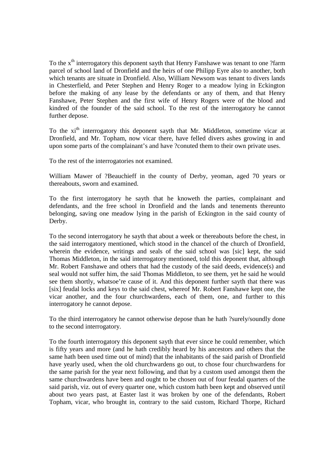To the x<sup>th</sup> interrogatory this deponent sayth that Henry Fanshawe was tenant to one ?farm parcel of school land of Dronfield and the heirs of one Philipp Eyre also to another, both which tenants are situate in Dronfield. Also, William Newsom was tenant to divers lands in Chesterfield, and Peter Stephen and Henry Roger to a meadow lying in Eckington before the making of any lease by the defendants or any of them, and that Henry Fanshawe, Peter Stephen and the first wife of Henry Rogers were of the blood and kindred of the founder of the said school. To the rest of the interrogatory he cannot further depose.

To the xi<sup>th</sup> interrogatory this deponent sayth that Mr. Middleton, sometime vicar at Dronfield, and Mr. Topham, now vicar there, have felled divers ashes growing in and upon some parts of the complainant's and have ?conuted them to their own private uses.

To the rest of the interrogatories not examined.

William Mawer of ?Beauchieff in the county of Derby, yeoman, aged 70 years or thereabouts, sworn and examined.

To the first interrogatory he sayth that he knoweth the parties, complainant and defendants, and the free school in Dronfield and the lands and tenements thereunto belonging, saving one meadow lying in the parish of Eckington in the said county of Derby.

To the second interrogatory he sayth that about a week or thereabouts before the chest, in the said interrogatory mentioned, which stood in the chancel of the church of Dronfield, wherein the evidence, writings and seals of the said school was [sic] kept, the said Thomas Middleton, in the said interrogatory mentioned, told this deponent that, although Mr. Robert Fanshawe and others that had the custody of the said deeds, evidence(s) and seal would not suffer him, the said Thomas Middleton, to see them, yet he said he would see them shortly, whatsoe're cause of it. And this deponent further sayth that there was [six] feudal locks and keys to the said chest, whereof Mr. Robert Fanshawe kept one, the vicar another, and the four churchwardens, each of them, one, and further to this interrogatory he cannot depose.

To the third interrogatory he cannot otherwise depose than he hath ?surely/soundly done to the second interrogatory.

To the fourth interrogatory this deponent sayth that ever since he could remember, which is fifty years and more (and he hath credibly heard by his ancestors and others that the same hath been used time out of mind) that the inhabitants of the said parish of Dronfield have yearly used, when the old churchwardens go out, to chose four churchwardens for the same parish for the year next following, and that by a custom used amongst them the same churchwardens have been and ought to be chosen out of four feudal quarters of the said parish, viz. out of every quarter one, which custom hath been kept and observed until about two years past, at Easter last it was broken by one of the defendants, Robert Topham, vicar, who brought in, contrary to the said custom, Richard Thorpe, Richard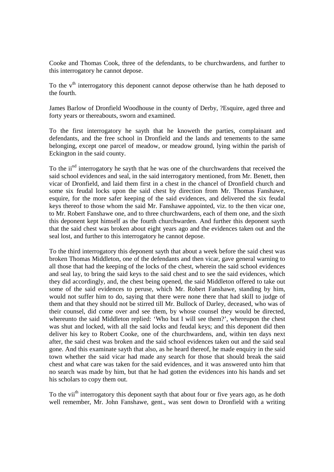Cooke and Thomas Cook, three of the defendants, to be churchwardens, and further to this interrogatory he cannot depose.

To the  $v<sup>th</sup>$  interrogatory this deponent cannot depose otherwise than he hath deposed to the fourth.

James Barlow of Dronfield Woodhouse in the county of Derby, ?Esquire, aged three and forty years or thereabouts, sworn and examined.

To the first interrogatory he sayth that he knoweth the parties, complainant and defendants, and the free school in Dronfield and the lands and tenements to the same belonging, except one parcel of meadow, or meadow ground, lying within the parish of Eckington in the said county.

To the ii<sup>nd</sup> interrogatory he sayth that he was one of the churchwardens that received the said school evidences and seal, in the said interrogatory mentioned, from Mr. Benett, then vicar of Dronfield, and laid them first in a chest in the chancel of Dronfield church and some six feudal locks upon the said chest by direction from Mr. Thomas Fanshawe, esquire, for the more safer keeping of the said evidences, and delivered the six feudal keys thereof to those whom the said Mr. Fanshawe appointed, viz. to the then vicar one, to Mr. Robert Fanshawe one, and to three churchwardens, each of them one, and the sixth this deponent kept himself as the fourth churchwarden. And further this deponent sayth that the said chest was broken about eight years ago and the evidences taken out and the seal lost, and further to this interrogatory he cannot depose.

To the third interrogatory this deponent sayth that about a week before the said chest was broken Thomas Middleton, one of the defendants and then vicar, gave general warning to all those that had the keeping of the locks of the chest, wherein the said school evidences and seal lay, to bring the said keys to the said chest and to see the said evidences, which they did accordingly, and, the chest being opened, the said Middleton offered to take out some of the said evidences to peruse, which Mr. Robert Fanshawe, standing by him, would not suffer him to do, saying that there were none there that had skill to judge of them and that they should not be stirred till Mr. Bullock of Darley, deceased, who was of their counsel, did come over and see them, by whose counsel they would be directed, whereunto the said Middleton replied: 'Who but I will see them?', whereupon the chest was shut and locked, with all the said locks and feudal keys; and this deponent did then deliver his key to Robert Cooke, one of the churchwardens, and, within ten days next after, the said chest was broken and the said school evidences taken out and the said seal gone. And this examinate sayth that also, as he heard thereof, he made enquiry in the said town whether the said vicar had made any search for those that should break the said chest and what care was taken for the said evidences, and it was answered unto him that no search was made by him, but that he had gotten the evidences into his hands and set his scholars to copy them out.

To the vii<sup>th</sup> interrogatory this deponent sayth that about four or five years ago, as he doth well remember, Mr. John Fanshawe, gent., was sent down to Dronfield with a writing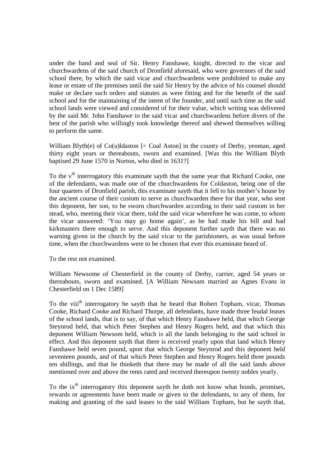under the hand and seal of Sir. Henry Fanshawe, knight, directed to the vicar and churchwardens of the said church of Dronfield aforesaid, who were governors of the said school there, by which the said vicar and churchwardens were prohibited to make any lease or estate of the premises until the said Sir Henry by the advice of his counsel should make or declare such orders and statutes as were fitting and for the benefit of the said school and for the maintaining of the intent of the founder, and until such time as the said school lands were viewed and considered of for their value, which writing was delivered by the said Mr. John Fanshawe to the said vicar and churchwardens before divers of the best of the parish who willingly took knowledge thereof and shewed themselves willing to perform the same.

William Blyth(e) of  $Co(u)$ ldaston  $I = Coal$  Aston) in the county of Derby, yeoman, aged thirty eight years or thereabouts, sworn and examined. [Was this the William Blyth baptised 29 June 1570 in Norton, who died in 1631?]

To the  $v<sup>th</sup>$  interrogatory this examinate sayth that the same year that Richard Cooke, one of the defendants, was made one of the churchwardens for Coldaston, being one of the four quarters of Dronfield parish, this examinate sayth that it fell to his mother's house by the ancient course of their custom to serve as churchwarden there for that year, who sent this deponent, her son, to be sworn churchwarden according to their said custom in her stead, who, meeting their vicar there, told the said vicar wherefore he was come, to whom the vicar answered: 'You may go home again', as he had made his bill and had kirkmasters there enough to serve. And this deponent further sayth that there was no warning given in the church by the said vicar to the parishioners, as was usual before time, when the churchwardens were to be chosen that ever this examinate heard of.

To the rest not examined.

William Newsome of Chesterfield in the county of Derby, carrier, aged 54 years or thereabouts, sworn and examined. [A William Newsam married an Agnes Evans in Chesterfield on 1 Dec 1589]

To the viii<sup>th</sup> interrogatory he sayth that he heard that Robert Topham, vicar, Thomas Cooke, Richard Cooke and Richard Thorpe, all defendants, have made three feudal leases of the school lands, that is to say, of that which Henry Fanshawe held, that which George Steynrod held, that which Peter Stephen and Henry Rogers held, and that which this deponent William Newsom held, which is all the lands belonging to the said school in effect. And this deponent sayth that there is received yearly upon that land which Henry Fanshawe held seven pound, upon that which George Steynrod and this deponent held seventeen pounds, and of that which Peter Stephen and Henry Rogers held three pounds ten shillings, and that he thinketh that there may be made of all the said lands above mentioned over and above the rents rated and received thereupon twenty nobles yearly.

To the  $ix<sup>th</sup>$  interrogatory this deponent sayth he doth not know what bonds, promises, rewards or agreements have been made or given to the defendants, to any of them, for making and granting of the said leases to the said William Topham, but he sayth that,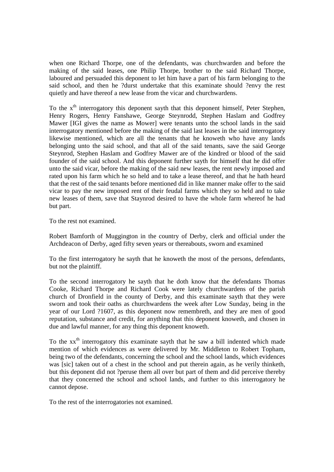when one Richard Thorpe, one of the defendants, was churchwarden and before the making of the said leases, one Philip Thorpe, brother to the said Richard Thorpe, laboured and persuaded this deponent to let him have a part of his farm belonging to the said school, and then he ?durst undertake that this examinate should ?envy the rest quietly and have thereof a new lease from the vicar and churchwardens.

To the  $x<sup>th</sup>$  interrogatory this deponent sayth that this deponent himself, Peter Stephen, Henry Rogers, Henry Fanshawe, George Steynrodd, Stephen Haslam and Godfrey Mawer [IGI gives the name as Mower] were tenants unto the school lands in the said interrogatory mentioned before the making of the said last leases in the said interrogatory likewise mentioned, which are all the tenants that he knoweth who have any lands belonging unto the said school, and that all of the said tenants, save the said George Steynrod, Stephen Haslam and Godfrey Mawer are of the kindred or blood of the said founder of the said school. And this deponent further sayth for himself that he did offer unto the said vicar, before the making of the said new leases, the rent newly imposed and rated upon his farm which he so held and to take a lease thereof, and that he hath heard that the rest of the said tenants before mentioned did in like manner make offer to the said vicar to pay the new imposed rent of their feudal farms which they so held and to take new leases of them, save that Staynrod desired to have the whole farm whereof he had but part.

To the rest not examined.

Robert Bamforth of Muggington in the country of Derby, clerk and official under the Archdeacon of Derby, aged fifty seven years or thereabouts, sworn and examined

To the first interrogatory he sayth that he knoweth the most of the persons, defendants, but not the plaintiff.

To the second interrogatory he sayth that he doth know that the defendants Thomas Cooke, Richard Thorpe and Richard Cook were lately churchwardens of the parish church of Dronfield in the county of Derby, and this examinate sayth that they were sworn and took their oaths as churchwardens the week after Low Sunday, being in the year of our Lord ?1607, as this deponent now remembreth, and they are men of good reputation, substance and credit, for anything that this deponent knoweth, and chosen in due and lawful manner, for any thing this deponent knoweth.

To the xx<sup>th</sup> interrogatory this examinate sayth that he saw a bill indented which made mention of which evidences as were delivered by Mr. Middleton to Robert Topham, being two of the defendants, concerning the school and the school lands, which evidences was [sic] taken out of a chest in the school and put therein again, as he verily thinketh, but this deponent did not ?peruse them all over but part of them and did perceive thereby that they concerned the school and school lands, and further to this interrogatory he cannot depose.

To the rest of the interrogatories not examined.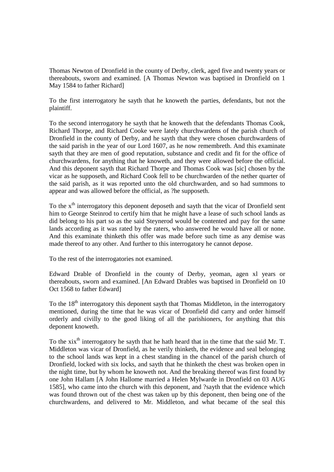Thomas Newton of Dronfield in the county of Derby, clerk, aged five and twenty years or thereabouts, sworn and examined. [A Thomas Newton was baptised in Dronfield on 1 May 1584 to father Richard]

To the first interrogatory he sayth that he knoweth the parties, defendants, but not the plaintiff.

To the second interrogatory he sayth that he knoweth that the defendants Thomas Cook, Richard Thorpe, and Richard Cooke were lately churchwardens of the parish church of Dronfield in the county of Derby, and he sayth that they were chosen churchwardens of the said parish in the year of our Lord 1607, as he now remembreth. And this examinate sayth that they are men of good reputation, substance and credit and fit for the office of churchwardens, for anything that he knoweth, and they were allowed before the official. And this deponent sayth that Richard Thorpe and Thomas Cook was [sic] chosen by the vicar as he supposeth, and Richard Cook fell to be churchwarden of the nether quarter of the said parish, as it was reported unto the old churchwarden, and so had summons to appear and was allowed before the official, as ?he supposeth.

To the  $x<sup>th</sup>$  interrogatory this deponent deposeth and sayth that the vicar of Dronfield sent him to George Steinrod to certify him that he might have a lease of such school lands as did belong to his part so as the said Steynerod would be contented and pay for the same lands according as it was rated by the raters, who answered he would have all or none. And this examinate thinketh this offer was made before such time as any demise was made thereof to any other. And further to this interrogatory he cannot depose.

To the rest of the interrogatories not examined.

Edward Drable of Dronfield in the county of Derby, yeoman, agen xl years or thereabouts, sworn and examined. [An Edward Drables was baptised in Dronfield on 10 Oct 1568 to father Edward]

To the  $18<sup>th</sup>$  interrogatory this deponent sayth that Thomas Middleton, in the interrogatory mentioned, during the time that he was vicar of Dronfield did carry and order himself orderly and civilly to the good liking of all the parishioners, for anything that this deponent knoweth.

To the xix<sup>th</sup> interrogatory he sayth that he hath heard that in the time that the said Mr. T. Middleton was vicar of Dronfield, as he verily thinketh, the evidence and seal belonging to the school lands was kept in a chest standing in the chancel of the parish church of Dronfield, locked with six locks, and sayth that he thinketh the chest was broken open in the night time, but by whom he knoweth not. And the breaking thereof was first found by one John Hallam [A John Hallome married a Helen Mylwarde in Dronfield on 03 AUG 1585], who came into the church with this deponent, and ?sayth that the evidence which was found thrown out of the chest was taken up by this deponent, then being one of the churchwardens, and delivered to Mr. Middleton, and what became of the seal this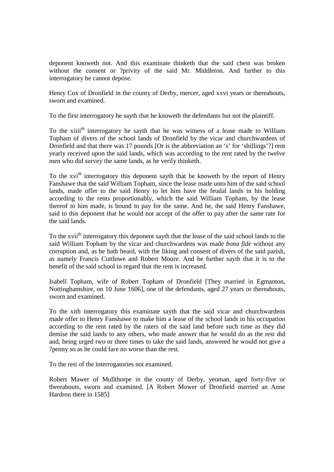deponent knoweth not. And this examinate thinketh that the said chest was broken without the consent or ?privity of the said Mr. Middleton. And further to this interrogatory he cannot depose.

Henry Cox of Dronfield in the county of Derby, mercer, aged xxvi years or thereabouts, sworn and examined.

To the first interrogatory he sayth that he knoweth the defendants but not the plaintiff.

To the xiii<sup>th</sup> interrogatory he sayth that he was witness of a lease made to William Topham of divers of the school lands of Dronfield by the vicar and churchwardens of Dronfield and that there was 17 pounds [Or is the abbreviation an 's' for 'shillings'?] rent yearly received upon the said lands, which was according to the rent rated by the twelve men who did survey the same lands, as he verily thinketh.

To the xvi<sup>th</sup> interrogatory this deponent sayth that he knoweth by the report of Henry Fanshawe that the said William Topham, since the lease made unto him of the said school lands, made offer to the said Henry to let him have the feudal lands in his holding according to the rents proportionably, which the said William Topham, by the lease thereof to him made, is bound to pay for the same. And he, the said Henry Fanshawe, said to this deponent that he would not accept of the offer to pay after the same rate for the said lands.

To the xvii<sup>th</sup> interrogatory this deponent sayth that the lease of the said school lands to the said William Topham by the vicar and churchwardens was made *bona fide* without any corruption and, as he hath heard, with the liking and consent of divers of the said parish, as namely Francis Cuttlowe and Robert Moore. And he further sayth that it is to the benefit of the said school in regard that the rent is increased.

Isabell Topham, wife of Robert Topham of Dronfield [They married in Egmanton, Nottinghamshire, on 10 June 1606], one of the defendants, aged 27 years or thereabouts, sworn and examined.

To the xith interrogatory this examinate sayth that the said vicar and churchwardens made offer to Henry Fanshawe to make him a lease of the school lands in his occupation according to the rent rated by the raters of the said land before such time as they did demise the said lands to any others, who made answer that he would do as the rest did and, being urged two or three times to take the said lands, answered he would not give a ?penny so as he could fare no worse than the rest.

To the rest of the interrogatories not examined.

Robert Mawer of Mullthorpe in the county of Derby, yeoman, aged forty-five or thereabouts, sworn and examined. [A Robert Mower of Dronfield married an Anne Hardron there in 1585]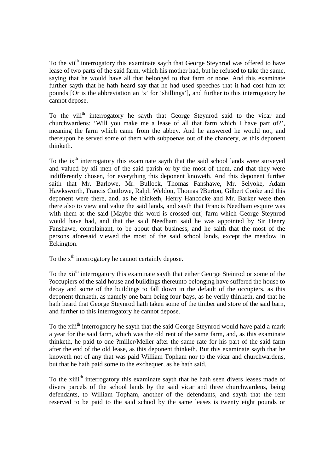To the vii<sup>th</sup> interrogatory this examinate sayth that George Steynrod was offered to have lease of two parts of the said farm, which his mother had, but he refused to take the same, saying that he would have all that belonged to that farm or none. And this examinate further sayth that he hath heard say that he had used speeches that it had cost him xx pounds [Or is the abbreviation an 's' for 'shillings'], and further to this interrogatory he cannot depose.

To the viii<sup>th</sup> interrogatory he sayth that George Steynrod said to the vicar and churchwardens: 'Will you make me a lease of all that farm which I have part of?', meaning the farm which came from the abbey. And he answered he would not, and thereupon he served some of them with subpoenas out of the chancery, as this deponent thinketh.

To the ix<sup>th</sup> interrogatory this examinate sayth that the said school lands were surveyed and valued by xii men of the said parish or by the most of them, and that they were indifferently chosen, for everything this deponent knoweth. And this deponent further saith that Mr. Barlowe, Mr. Bullock, Thomas Fanshawe, Mr. Selyoke, Adam Hawksworth, Francis Cuttlowe, Ralph Weldon, Thomas ?Burton, Gilbert Cooke and this deponent were there, and, as he thinketh, Henry Hancocke and Mr. Barker were then there also to view and value the said lands, and sayth that Francis Needham esquire was with them at the said [Maybe this word is crossed out] farm which George Steynrod would have had, and that the said Needham said he was appointed by Sir Henry Fanshawe, complainant, to be about that business, and he saith that the most of the persons aforesaid viewed the most of the said school lands, except the meadow in Eckington.

To the  $x<sup>th</sup>$  interrogatory he cannot certainly depose.

To the xi<sup>th</sup> interrogatory this examinate sayth that either George Steinrod or some of the ?occupiers of the said house and buildings thereunto belonging have suffered the house to decay and some of the buildings to fall down in the default of the occupiers, as this deponent thinketh, as namely one barn being four bays, as he verily thinketh, and that he hath heard that George Steynrod hath taken some of the timber and store of the said barn, and further to this interrogatory he cannot depose.

To the xiii<sup>th</sup> interrogatory he sayth that the said George Steynrod would have paid a mark a year for the said farm, which was the old rent of the same farm, and, as this examinate thinketh, he paid to one ?miller/Meller after the same rate for his part of the said farm after the end of the old lease, as this deponent thinketh. But this examinate sayth that he knoweth not of any that was paid William Topham nor to the vicar and churchwardens, but that he hath paid some to the exchequer, as he hath said.

To the xiiii<sup>th</sup> interrogatory this examinate sayth that he hath seen divers leases made of divers parcels of the school lands by the said vicar and three churchwardens, being defendants, to William Topham, another of the defendants, and sayth that the rent reserved to be paid to the said school by the same leases is twenty eight pounds or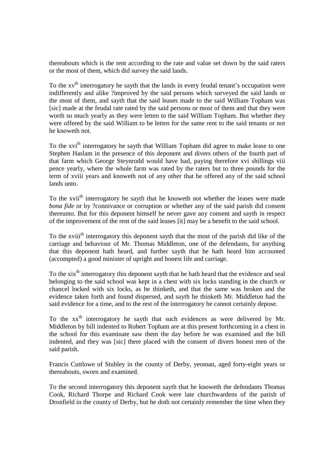thereabouts which is the rent according to the rate and value set down by the said raters or the most of them, which did survey the said lands.

To the  $xv<sup>th</sup>$  interrogatory he sayth that the lands in every feudal tenant's occupation were indifferently and alike ?improved by the said persons which surveyed the said lands or the most of them, and sayth that the said leases made to the said William Topham was [sic] made at the feudal rate rated by the said persons or most of them and that they were worth so much yearly as they were letten to the said William Topham. But whether they were offered by the said William to be letten for the same rent to the said tenants or not he knoweth not.

To the xvi<sup>th</sup> interrogatory he sayth that William Topham did agree to make lease to one Stephen Haslam in the presence of this deponent and divers others of the fourth part of that farm which George Steynrodd would have had, paying therefore xvi shillings viii pence yearly, where the whole farm was rated by the raters but to three pounds for the term of xviii years and knoweth not of any other that he offered any of the said school lands unto.

To the xvii<sup>th</sup> interrogatory he sayth that he knoweth not whether the leases were made *bona fide* or by ?connivance or corruption or whether any of the said parish did consent thereunto. But for this deponent himself he never gave any consent and sayth in respect of the improvement of the rent of the said leases [it] may be a benefit to the said school.

To the xviii<sup>th</sup> interrogatory this deponent sayth that the most of the parish did like of the carriage and behaviour of Mr. Thomas Middleton, one of the defendants, for anything that this deponent hath heard, and further sayth that he hath heard him accounted (accompted) a good minister of upright and honest life and carriage.

To the xix<sup>th</sup> interrogatory this deponent sayth that he hath heard that the evidence and seal belonging to the said school was kept in a chest with six locks standing in the church or chancel locked with six locks, as he thinketh, and that the same was broken and the evidence taken forth and found dispersed, and sayth he thinketh Mr. Middleton had the said evidence for a time, and to the rest of the interrogatory he cannot certainly depose.

To the  $xx<sup>th</sup>$  interrogatory he sayth that such evidences as were delivered by Mr. Middleton by bill indented to Robert Topham are at this present forthcoming in a chest in the school for this examinate saw them the day before he was examined and the bill indented, and they was [sic] there placed with the consent of divers honest men of the said parish.

Francis Cuttlowe of Stubley in the county of Derby, yeoman, aged forty-eight years or thereabouts, sworn and examined.

To the second interrogatory this deponent sayth that he knoweth the defendants Thomas Cook, Richard Thorpe and Richard Cook were late churchwardens of the parish of Dronfield in the county of Derby, but he doth not certainly remember the time when they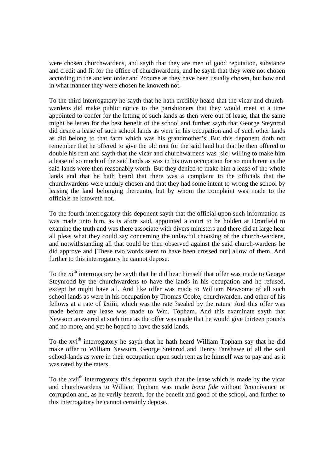were chosen churchwardens, and sayth that they are men of good reputation, substance and credit and fit for the office of churchwardens, and he sayth that they were not chosen according to the ancient order and ?course as they have been usually chosen, but how and in what manner they were chosen he knoweth not.

To the third interrogatory he sayth that he hath credibly heard that the vicar and churchwardens did make public notice to the parishioners that they would meet at a time appointed to confer for the letting of such lands as then were out of lease, that the same might be letten for the best benefit of the school and further sayth that George Steynrod did desire a lease of such school lands as were in his occupation and of such other lands as did belong to that farm which was his grandmother's. But this deponent doth not remember that he offered to give the old rent for the said land but that he then offered to double his rent and sayth that the vicar and churchwardens was [sic] willing to make him a lease of so much of the said lands as was in his own occupation for so much rent as the said lands were then reasonably worth. But they denied to make him a lease of the whole lands and that he hath heard that there was a complaint to the officials that the churchwardens were unduly chosen and that they had some intent to wrong the school by leasing the land belonging thereunto, but by whom the complaint was made to the officials he knoweth not.

To the fourth interrogatory this deponent sayth that the official upon such information as was made unto him, as is afore said, appointed a court to be holden at Dronfield to examine the truth and was there associate with divers ministers and there did at large hear all pleas what they could say concerning the unlawful choosing of the church-wardens, and notwithstanding all that could be then observed against the said church-wardens he did approve and [These two words seem to have been crossed out] allow of them. And further to this interrogatory he cannot depose.

To the xi<sup>th</sup> interrogatory he sayth that he did hear himself that offer was made to George Steynrodd by the churchwardens to have the lands in his occupation and he refused, except he might have all. And like offer was made to William Newsome of all such school lands as were in his occupation by Thomas Cooke, churchwarden, and other of his fellows at a rate of £xiiii, which was the rate ?sealed by the raters. And this offer was made before any lease was made to Wm. Topham. And this examinate sayth that Newsom answered at such time as the offer was made that he would give thirteen pounds and no more, and yet he hoped to have the said lands.

To the xvi<sup>th</sup> interrogatory he sayth that he hath heard William Topham say that he did make offer to William Newsom, George Steinrod and Henry Fanshawe of all the said school-lands as were in their occupation upon such rent as he himself was to pay and as it was rated by the raters.

To the xvii<sup>th</sup> interrogatory this deponent sayth that the lease which is made by the vicar and churchwardens to William Topham was made *bona fide* without ?connivance or corruption and, as he verily heareth, for the benefit and good of the school, and further to this interrogatory he cannot certainly depose.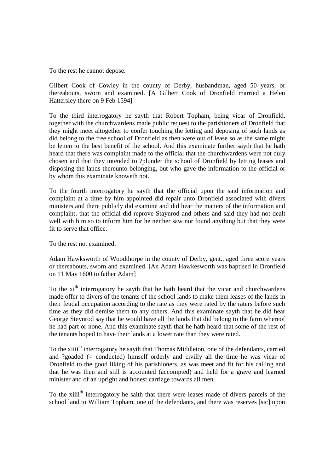To the rest he cannot depose.

Gilbert Cook of Cowley in the county of Derby, husbandman, aged 50 years, or thereabouts, sworn and examined. [A Gilbert Cook of Dronfield married a Helen Hattersley there on 9 Feb 1594]

To the third interrogatory he sayth that Robert Topham, being vicar of Dronfield, together with the churchwardens made public request to the parishioners of Dronfield that they might meet altogether to confer touching the letting and deposing of such lands as did belong to the free school of Dronfield as then were out of lease so as the same might be letten to the best benefit of the school. And this examinate further sayth that he hath heard that there was complaint made to the official that the churchwardens were not duly chosen and that they intended to ?plunder the school of Dronfield by letting leases and disposing the lands thereunto belonging, but who gave the information to the official or by whom this examinate knoweth not.

To the fourth interrogatory he sayth that the official upon the said information and complaint at a time by him appointed did repair unto Dronfield associated with divers ministers and there publicly did examine and did hear the matters of the information and complaint, that the official did reprove Staynrod and others and said they had not dealt well with him so to inform him for he neither saw nor found anything but that they were fit to serve that office.

To the rest not examined.

Adam Hawksworth of Woodthorpe in the county of Derby, gent., aged three score years or thereabouts, sworn and examined. [An Adam Hawkesworth was baptised in Dronfield on 11 May 1600 to father Adam]

To the xi<sup>th</sup> interrogatory he sayth that he hath heard that the vicar and churchwardens made offer to divers of the tenants of the school lands to make them leases of the lands in their feudal occupation according to the rate as they were rated by the raters before such time as they did demise them to any others. And this examinate sayth that he did hear George Steynrod say that he would have all the lands that did belong to the farm whereof he had part or none. And this examinate sayth that he hath heard that some of the rest of the tenants hoped to have their lands at a lower rate than they were rated.

To the xiii<sup>th</sup> interrogatory he sayth that Thomas Middleton, one of the defendants, carried and ?goaded (= conducted) himself orderly and civilly all the time he was vicar of Dronfield to the good liking of his parishioners, as was meet and fit for his calling and that he was then and still is accounted (accompted) and held for a grave and learned minister and of an upright and honest carriage towards all men.

To the xiiii<sup>th</sup> interrogatory he saith that there were leases made of divers parcels of the school land to William Topham, one of the defendants, and there was reserves [sic] upon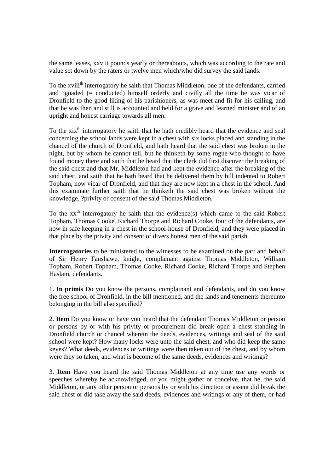the same leases, xxviii pounds yearly or thereabouts, which was according to the rate and value set down by the raters or twelve men which/who did survey the said lands.

To the xviii<sup>th</sup> interrogatory he saith that Thomas Middleton, one of the defendants, carried and ?goaded (= conducted) himself orderly and civilly all the time he was vicar of Dronfield to the good liking of his parishioners, as was meet and fit for his calling, and that he was then and still is accounted and held for a grave and learned minister and of an upright and honest carriage towards all men.

To the  $xix<sup>th</sup>$  interrogatory he saith that he hath credibly heard that the evidence and seal concerning the school lands were kept in a chest with six locks placed and standing in the chancel of the church of Dronfield, and hath heard that the said chest was broken in the night, but by whom he cannot tell, but he thinketh by some rogue who thought to have found money there and saith that he heard that the clerk did first discover the breaking of the said chest and that Mr. Middleton had and kept the evidence after the breaking of the said chest, and saith that he hath heard that he delivered them by bill indented to Robert Topham, now vicar of Dronfield, and that they are now kept in a chest in the school. And this examinate further saith that he thinketh the said chest was broken without the knowledge, ?privity or consent of the said Thomas Middleton.

To the  $xx<sup>th</sup>$  interrogatory he saith that the evidence(s) which came to the said Robert Topham, Thomas Cooke, Richard Thorpe and Richard Cooke, four of the defendants, are now in safe keeping in a chest in the school-house of Dronfield, and they were placed in that place by the privity and consent of divers honest men of the said parish.

**Interrogatories** to be ministered to the witnesses to be examined on the part and behalf of Sir Henry Fanshawe, knight, complainant against Thomas Middleton, William Topham, Robert Topham, Thomas Cooke, Richard Cooke, Richard Thorpe and Stephen Haslam, defendants.

1. **In primis** Do you know the persons, complainant and defendants, and do you know the free school of Dronfield, in the bill mentioned, and the lands and tenements thereunto belonging in the bill also specified?

2. **Item** Do you know or have you heard that the defendant Thomas Middleton or person or persons by or with his privity or procurement did break open a chest standing in Dronfield church or chancel wherein the deeds, evidences, writings and seal of the said school were kept? How many locks were unto the said chest, and who did keep the same keyes? What deeds, evidences or writings were then taken out of the chest, and by whom were they so taken, and what is become of the same deeds, evidences and writings?

3. **Item** Have you heard the said Thomas Middleton at any time use any words or speeches whereby he acknowledged, or you might gather or conceive, that he, the said Middleton, or any other person or persons by or with his direction or assent did break the said chest or did take away the said deeds, evidences and writings or any of them, or had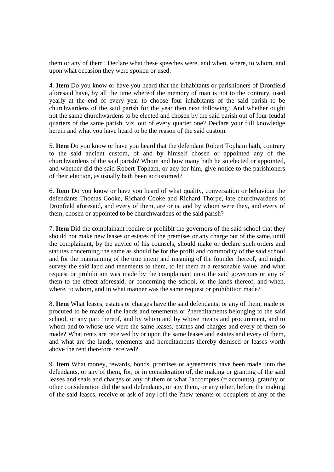them or any of them? Declare what these speeches were, and when, where, to whom, and upon what occasion they were spoken or used.

4. **Item** Do you know or have you heard that the inhabitants or parishioners of Dronfield aforesaid have, by all the time whereof the memory of man is not to the contrary, used yearly at the end of every year to choose four inhabitants of the said parish to be churchwardens of the said parish for the year then next following? And whether ought not the same churchwardens to be elected and chosen by the said parish out of four feudal quarters of the same parish, viz. out of every quarter one? Declare your full knowledge herein and what you have heard to be the reason of the said custom.

5. **Item** Do you know or have you heard that the defendant Robert Topham hath, contrary to the said ancient custom, of and by himself chosen or appointed any of the churchwardens of the said parish? Whom and how many hath he so elected or appointed, and whether did the said Robert Topham, or any for him, give notice to the parishioners of their election, as usually hath been accustomed?

6. **Item** Do you know or have you heard of what quality, conversation or behaviour the defendants Thomas Cooke, Richard Cooke and Richard Thorpe, late churchwardens of Dronfield aforesaid, and every of them, are or is, and by whom were they, and every of them, chosen or appointed to be churchwardens of the said parish?

7. **Item** Did the complainant require or prohibit the governors of the said school that they should not make new leases or estates of the premises or any charge out of the same, until the complainant, by the advice of his counsels, should make or declare such orders and statutes concerning the same as should be for the profit and commodity of the said school and for the maintaining of the true intent and meaning of the founder thereof, and might survey the said land and tenements to them, to let them at a reasonable value, and what request or prohibition was made by the complainant unto the said governors or any of them to the effect aforesaid, or concerning the school, or the lands thereof, and when, where, to whom, and in what manner was the same request or prohibition made?

8. **Item** What leases, estates or charges have the said defendants, or any of them, made or procured to be made of the lands and tenements or ?hereditaments belonging to the said school, or any part thereof, and by whom and by whose means and procurement, and to whom and to whose use were the same leases, estates and charges and every of them so made? What rents are received by or upon the same leases and estates and every of them, and what are the lands, tenements and hereditaments thereby demised or leases worth above the rent therefore received?

9. **Item** What money, rewards, bonds, promises or agreements have been made unto the defendants, or any of them, for, or in consideration of, the making or granting of the said leases and seals and charges or any of them or what ?accomptes (= accounts), gratuity or other consideration did the said defendants, or any them, or any other, before the making of the said leases, receive or ask of any [of] the ?new tenants or occupiers of any of the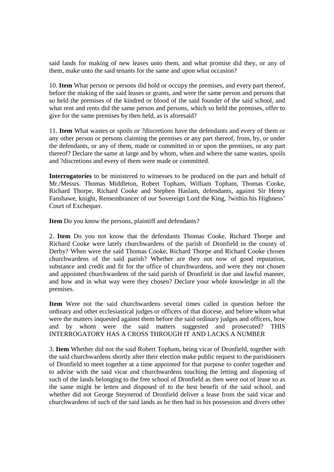said lands for making of new leases unto them, and what promise did they, or any of them, make unto the said tenants for the same and upon what occasion?

10. **Item** What person or persons did hold or occupy the premises, and every part thereof, before the making of the said leases or grants, and were the same person and persons that so held the premises of the kindred or blood of the said founder of the said school, and what rent and rents did the same person and persons, which so held the premises, offer to give for the same premises by then held, as is aforesaid?

11. **Item** What wastes or spoils or ?discretions have the defendants and every of them or any other person or persons claiming the premises or any part thereof, from, by, or under the defendants, or any of them, made or committed in or upon the premises, or any part thereof? Declare the same at large and by whom, when and where the same wastes, spoils and ?discretions and every of them were made or committed.

**Interrogatories** to be ministered to witnesses to be produced on the part and behalf of Mr./Messrs. Thomas Middleton, Robert Topham, William Topham, Thomas Cooke, Richard Thorpe, Richard Cooke and Stephen Haslam, defendants, against Sir Henry Fanshawe, knight, Remembrancer of our Sovereign Lord the King, ?within his Highness' Court of Exchequer.

**Item** Do you know the persons, plaintiff and defendants?

2. **Item** Do you not know that the defendants Thomas Cooke, Richard Thorpe and Richard Cooke were lately churchwardens of the parish of Dronfield in the county of Derby? When were the said Thomas Cooke, Richard Thorpe and Richard Cooke chosen churchwardens of the said parish? Whether are they not now of good reputation, substance and credit and fit for the office of churchwardens, and were they not chosen and appointed churchwardens of the said parish of Dronfield in due and lawful manner, and how and in what way were they chosen? Declare your whole knowledge in all the premises.

**Item** Were not the said churchwardens several times called in question before the ordinary and other ecclesiastical judges or officers of that diocese, and before whom what were the matters inquested against them before the said ordinary judges and officers, how and by whom were the said matters suggested and prosecuted? THIS INTERROGATORY HAS A CROSS THROUGH IT AND LACKS A NUMBER

3. **Item** Whether did not the said Robert Topham, being vicar of Dronfield, together with the said churchwardens shortly after their election make public request to the parishioners of Dronfield to meet together at a time appointed for that purpose to confer together and to advise with the said vicar and churchwardens touching the letting and disposing of such of the lands belonging to the free school of Dronfield as then were out of lease so as the same might be letten and disposed of to the best benefit of the said school, and whether did not George Steynerod of Dronfield deliver a lease from the said vicar and churchwardens of such of the said lands as he then had in his possession and divers other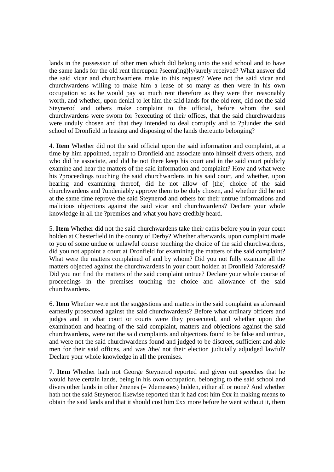lands in the possession of other men which did belong unto the said school and to have the same lands for the old rent thereupon ?seem(ing)ly/surely received? What answer did the said vicar and churchwardens make to this request? Were not the said vicar and churchwardens willing to make him a lease of so many as then were in his own occupation so as he would pay so much rent therefore as they were then reasonably worth, and whether, upon denial to let him the said lands for the old rent, did not the said Steynerod and others make complaint to the official, before whom the said churchwardens were sworn for ?executing of their offices, that the said churchwardens were unduly chosen and that they intended to deal corruptly and to ?plunder the said school of Dronfield in leasing and disposing of the lands thereunto belonging?

4. **Item** Whether did not the said official upon the said information and complaint, at a time by him appointed, repair to Dronfield and associate unto himself divers others, and who did he associate, and did he not there keep his court and in the said court publicly examine and hear the matters of the said information and complaint? How and what were his ?proceedings touching the said churchwardens in his said court, and whether, upon hearing and examining thereof, did he not allow of [the] choice of the said churchwardens and ?undeniably approve them to be duly chosen, and whether did he not at the same time reprove the said Steynerod and others for their untrue informations and malicious objections against the said vicar and churchwardens? Declare your whole knowledge in all the ?premises and what you have credibly heard.

5. **Item** Whether did not the said churchwardens take their oaths before you in your court holden at Chesterfield in the county of Derby? Whether afterwards, upon complaint made to you of some undue or unlawful course touching the choice of the said churchwardens, did you not appoint a court at Dronfield for examining the matters of the said complaint? What were the matters complained of and by whom? Did you not fully examine all the matters objected against the churchwardens in your court holden at Dronfield ?aforesaid? Did you not find the matters of the said complaint untrue? Declare your whole course of proceedings in the premises touching the choice and allowance of the said churchwardens.

6. **Item** Whether were not the suggestions and matters in the said complaint as aforesaid earnestly prosecuted against the said churchwardens? Before what ordinary officers and judges and in what court or courts were they prosecuted, and whether upon due examination and hearing of the said complaint, matters and objections against the said churchwardens, were not the said complaints and objections found to be false and untrue, and were not the said churchwardens found and judged to be discreet, sufficient and able men for their said offices, and was /the/ not their election judicially adjudged lawful? Declare your whole knowledge in all the premises.

7. **Item** Whether hath not George Steynerod reported and given out speeches that he would have certain lands, being in his own occupation, belonging to the said school and divers other lands in other ?menes (= ?demesnes) holden, either all or none? And whether hath not the said Steynerod likewise reported that it had cost him £xx in making means to obtain the said lands and that it should cost him £xx more before he went without it, them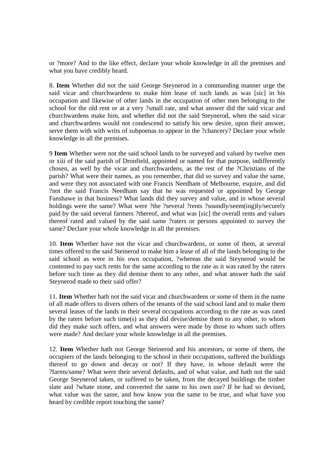or ?more? And to the like effect, declare your whole knowledge in all the premises and what you have credibly heard.

8. **Item** Whether did not the said George Steynerod in a commanding manner urge the said vicar and churchwardens to make him lease of such lands as was [sic] in his occupation and likewise of other lands in the occupation of other men belonging to the school for the old rent or at a very ?small rate, and what answer did the said vicar and churchwardens make him, and whether did not the said Steynerod, when the said vicar and churchwardens would not condescend to satisfy his new desire, upon their answer, serve them with with writs of subpoenas to appear in the ?chancery? Declare your whole knowledge in all the premises.

9 **Item** Whether were not the said school lands to be surveyed and valued by twelve men or xiii of the said parish of Dronfield, appointed or named for that purpose, indifferently chosen, as well by the vicar and churchwardens, as the rest of the ?Christians of the parish? What were their names, as you remember, that did so survey and value the same, and were they not associated with one Francis Needham of Melbourne, esquire, and did ?not the said Francis Needham say that he was requested or appointed by George Fanshawe in that business? What lands did they survey and value, and in whose several holdings were the same? What were ?the ?several ?rents ?soundly/seem(ing)ly/securely paid by the said several farmers ?thereof, and what was [sic] the overall rents and values thereof rated and valued by the said same ?raters or persons appointed to survey the same? Declare your whole knowledge in all the premises.

10. **Item** Whether have not the vicar and churchwardens, or some of them, at several times offered to the said Steinerod to make him a lease of all of the lands belonging to the said school as were in his own occupation, ?whereas the said Steynerod would be contented to pay such rents for the same according to the rate as it was rated by the raters before such time as they did demise them to any other, and what answer hath the said Steynerod made to their said offer?

11. **Item** Whether hath not the said vicar and churchwardens or some of them in the name of all made offers to divers others of the tenants of the said school land and to make them several leases of the lands in their several occupations according to the rate as was rated by the raters before such time(s) as they did devise/demise them to any other, to whom did they make such offers, and what answers were made by those to whom such offers were made? And declare your whole knowledge in all the premises.

12. **Item** Whether hath not George Steinerod and his ancestors, or some of them, the occupiers of the lands belonging to the school in their occupations, suffered the buildings thereof to go down and decay or not? If they have, in whose default were the ?farms/same? What were their several defaults, and of what value, and hath not the said George Steynerod taken, or suffered to be taken, from the decayed buildings the timber slate and ?whate stone, and converted the same to his own use? If he had so devised, what value was the same, and how know you the same to be true, and what have you heard by credible report touching the same?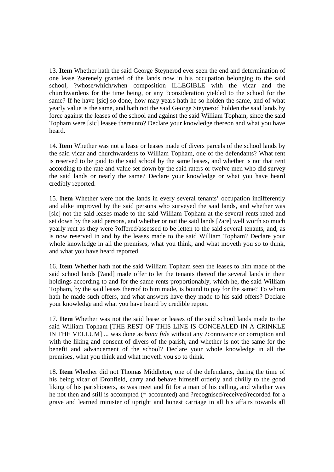13. **Item** Whether hath the said George Steynerod ever seen the end and determination of one lease ?serenely granted of the lands now in his occupation belonging to the said school, ?whose/which/when composition ILLEGIBLE with the vicar and the churchwardens for the time being, or any ?consideration yielded to the school for the same? If he have [sic] so done, how may years hath he so holden the same, and of what yearly value is the same, and hath not the said George Steynerod holden the said lands by force against the leases of the school and against the said William Topham, since the said Topham were [sic] leasee thereunto? Declare your knowledge thereon and what you have heard.

14. **Item** Whether was not a lease or leases made of divers parcels of the school lands by the said vicar and churchwardens to William Topham, one of the defendants? What rent is reserved to be paid to the said school by the same leases, and whether is not that rent according to the rate and value set down by the said raters or twelve men who did survey the said lands or nearly the same? Declare your knowledge or what you have heard credibly reported.

15. **Item** Whether were not the lands in every several tenants' occupation indifferently and alike improved by the said persons who surveyed the said lands, and whether was [sic] not the said leases made to the said William Topham at the several rents rated and set down by the said persons, and whether or not the said lands [?are] well worth so much yearly rent as they were ?offered/assessed to be letten to the said several tenants, and, as is now reserved in and by the leases made to the said William Topham? Declare your whole knowledge in all the premises, what you think, and what moveth you so to think, and what you have heard reported.

16. **Item** Whether hath not the said William Topham seen the leases to him made of the said school lands [?and] made offer to let the tenants thereof the several lands in their holdings according to and for the same rents proportionably, which he, the said William Topham, by the said leases thereof to him made, is bound to pay for the same? To whom hath he made such offers, and what answers have they made to his said offers? Declare your knowledge and what you have heard by credible report.

17. **Item** Whether was not the said lease or leases of the said school lands made to the said William Topham [THE REST OF THIS LINE IS CONCEALED IN A CRINKLE IN THE VELLUM] ... was done as *bona fide* without any ?connivance or corruption and with the liking and consent of divers of the parish, and whether is not the same for the benefit and advancement of the school? Declare your whole knowledge in all the premises, what you think and what moveth you so to think.

18. **Item** Whether did not Thomas Middleton, one of the defendants, during the time of his being vicar of Dronfield, carry and behave himself orderly and civilly to the good liking of his parishioners, as was meet and fit for a man of his calling, and whether was he not then and still is accompted (= accounted) and ?recognised/received/recorded for a grave and learned minister of upright and honest carriage in all his affairs towards all